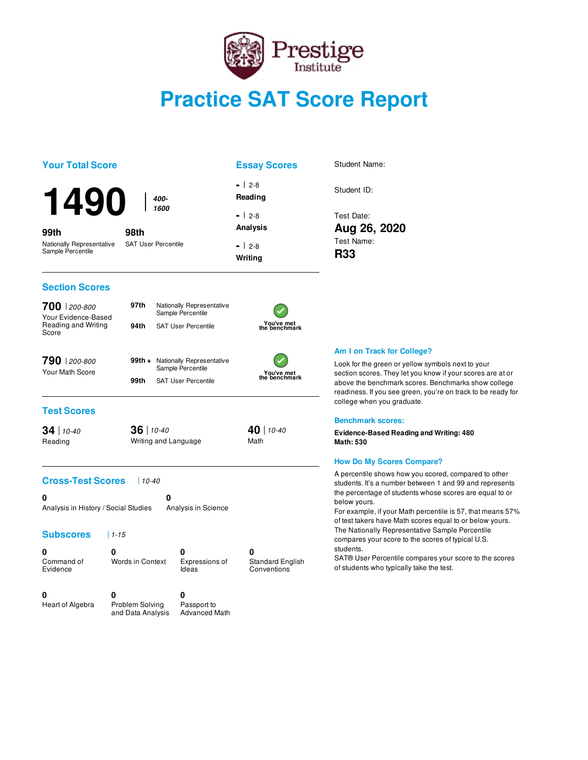

# **Practice SAT Score Report**

| <b>Your Total Score</b>                        |                                    |                                                       | <b>Essay Scores</b>                  | Student Name:                                                                                                                                                                                                   |
|------------------------------------------------|------------------------------------|-------------------------------------------------------|--------------------------------------|-----------------------------------------------------------------------------------------------------------------------------------------------------------------------------------------------------------------|
| <b>1490</b>                                    | 400-                               |                                                       | -   2-8<br>Reading                   | Student ID:                                                                                                                                                                                                     |
|                                                | 1600                               |                                                       | $-12-8$                              | Test Date:                                                                                                                                                                                                      |
| 99th                                           | 98th                               |                                                       | <b>Analysis</b>                      | Aug 26, 2020                                                                                                                                                                                                    |
| Nationally Representative<br>Sample Percentile | <b>SAT User Percentile</b>         |                                                       | $-12-8$                              | Test Name:                                                                                                                                                                                                      |
|                                                |                                    |                                                       | Writing                              | <b>R33</b>                                                                                                                                                                                                      |
| <b>Section Scores</b>                          |                                    |                                                       |                                      |                                                                                                                                                                                                                 |
| 700 200-800<br>Your Evidence-Based             | 97th                               | Nationally Representative<br>Sample Percentile        |                                      |                                                                                                                                                                                                                 |
| Reading and Writing<br>Score                   | 94th                               | <b>SAT User Percentile</b>                            | You've met<br>the benchmark          |                                                                                                                                                                                                                 |
|                                                |                                    |                                                       |                                      | Am I on Track for College?                                                                                                                                                                                      |
| 790 200-800<br>Your Math Score                 |                                    | 99th + Nationally Representative<br>Sample Percentile |                                      | Look for the green or yellow symbols next to your                                                                                                                                                               |
|                                                | 99th                               | <b>SAT User Percentile</b>                            | You've met<br>the benchmark          | section scores. They let you know if your scores are at or<br>above the benchmark scores. Benchmarks show college<br>readiness. If you see green, you're on track to be ready for<br>college when you graduate. |
| <b>Test Scores</b>                             |                                    |                                                       |                                      | <b>Benchmark scores:</b>                                                                                                                                                                                        |
| $34$ 10-40<br>Reading                          | $36$ 10-40<br>Writing and Language |                                                       | 40 10-40<br>Math                     | <b>Evidence-Based Reading and Writing: 480</b><br><b>Math: 530</b>                                                                                                                                              |
|                                                |                                    |                                                       |                                      | <b>How Do My Scores Compare?</b>                                                                                                                                                                                |
| <b>Cross-Test Scores</b>                       | $10-40$                            |                                                       |                                      | A percentile shows how you scored, compared to other<br>students. It's a number between 1 and 99 and represents                                                                                                 |
| 0<br>Analysis in History / Social Studies      | 0                                  | Analysis in Science                                   |                                      | the percentage of students whose scores are equal to or<br>below yours.<br>For example, if your Math percentile is 57, that means 57%<br>of test takers have Math scores equal to or below yours.               |
| <b>Subscores</b>                               | $1 - 15$                           |                                                       |                                      | The Nationally Representative Sample Percentile<br>compares your score to the scores of typical U.S.                                                                                                            |
| 0<br>Command of<br>Evidence                    | 0<br><b>Words in Context</b>       | 0<br>Expressions of<br>Ideas                          | 0<br>Standard English<br>Conventions | students.<br>SAT® User Percentile compares your score to the scores<br>of students who typically take the test.                                                                                                 |
| 0<br>Heart of Algebra                          | 0<br>Problem Solving               | 0<br>Passport to                                      |                                      |                                                                                                                                                                                                                 |
|                                                | and Data Analysis                  | <b>Advanced Math</b>                                  |                                      |                                                                                                                                                                                                                 |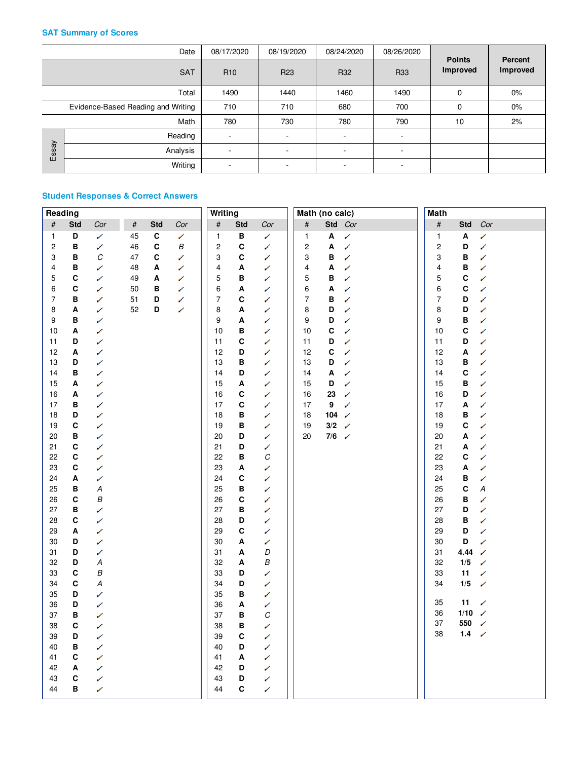### **SAT Summary of Scores**

|       | Date                               | 08/17/2020      | 08/19/2020               | 08/24/2020               | 08/26/2020               |                                  |                     |
|-------|------------------------------------|-----------------|--------------------------|--------------------------|--------------------------|----------------------------------|---------------------|
|       | <b>SAT</b>                         | R <sub>10</sub> | R <sub>23</sub>          | R32                      | R33                      | <b>Points</b><br><b>Improved</b> | Percent<br>Improved |
|       | Total                              | 1490            | 1440                     | 1460                     | 1490                     | 0                                | $0\%$               |
|       | Evidence-Based Reading and Writing | 710             | 710                      | 680                      | 700                      | 0                                | $0\%$               |
|       | Math                               | 780             | 730                      | 780                      | 790                      | 10                               | 2%                  |
|       | Reading                            | $\sim$          | ٠                        | ۰                        | $\sim$                   |                                  |                     |
| Essay | Analysis                           | ۰               | $\overline{\phantom{a}}$ | $\overline{\phantom{0}}$ | $\overline{\phantom{a}}$ |                                  |                     |
|       | Writing                            |                 | $\overline{\phantom{a}}$ | ۰                        | $\overline{\phantom{a}}$ |                                  |                     |

### **Student Responses & Correct Answers**

| Reading                 |              |          |      |              |     | <b>Writing</b> |              |        | Math (no calc) |              |              | <b>Math</b>             |             |                   |
|-------------------------|--------------|----------|------|--------------|-----|----------------|--------------|--------|----------------|--------------|--------------|-------------------------|-------------|-------------------|
| $\#$                    | <b>Std</b>   | Cor      | $\#$ | <b>Std</b>   | Cor | $\#$           | <b>Std</b>   | Cor    | $\#$           | Std          | Cor          | $\#$                    | <b>Std</b>  | Cor               |
| $\mathbf{1}$            | D            | ✓        | 45   | $\mathbf c$  | ✓   | 1              | в            | ✓      | 1              | Α            | ✓            | $\mathbf{1}$            | A           | $\checkmark$      |
| $\overline{\mathbf{c}}$ | в            | ✓        | 46   | $\mathbf{C}$ | В   | $\overline{c}$ | C            | ✓      | 2              | Α            | ✓            | $\overline{\mathbf{c}}$ | D           | ✓                 |
| 3                       | В            | $\cal C$ | 47   | C            | ✓   | 3              | C            | ✓      | 3              | В            | ✓            | 3                       | B           | ✓                 |
| 4                       | в            | ✓        | 48   | Α            | ✓   | 4              | Α            | ✓      | 4              | A            | ✓            | 4                       | B           | ✓                 |
| 5                       | C            | ✓        | 49   | Α            | ✓   | 5              | в            | ✓      | 5              | в            | ✓            | 5                       | C           | ✓                 |
| 6                       | С            | ✓        | 50   | в            | ✓   | 6              | Α            | ✓      | 6              | Α            | ✓            | 6                       | C           | ✓                 |
| $\overline{7}$          | B            | ✓        | 51   | D            | ✓   | 7              | $\mathbf{C}$ | ✓      | $\overline{7}$ | В            | ✓            | $\overline{7}$          | D           | ✓                 |
| 8                       | A            | ✓        | 52   | D            | ✓   | 8              | Α            | ✓      | 8              | D            | ✓            | 8                       | D           | ✓                 |
| 9                       | в            | ✓        |      |              |     | 9              | Α            | ✓      | 9              | D            | ✓            | 9                       | B           | ✓                 |
| 10                      | Α            | ✓        |      |              |     | 10             | в            | ✓      | 10             | $\mathbf{C}$ | ✓            | 10                      | $\mathbf c$ | ✓                 |
| 11                      | D            | ✓        |      |              |     | 11             | C            | ✓      | 11             | D            | ✓            | 11                      | D           | ✓                 |
| 12                      | A            | ✓        |      |              |     | 12             | D            | ✓      | 12             | $\mathbf{C}$ | ✓            | 12                      | A           | ✓                 |
| 13                      | D            | ✓        |      |              |     | 13             | в            | ✓      | 13             | D            | ✓            | 13                      | в           | ✓                 |
| 14                      | в            | ✓        |      |              |     | 14             | D            | ✓      | 14             | A            | ✓            | 14                      | $\mathbf c$ | ✓                 |
| 15                      | Α            | ✓        |      |              |     | 15             | Α            | ✓      | 15             | D            | ✓            | 15                      | B           | ✓                 |
| 16                      | Α            | ✓        |      |              |     | 16             | C            | ✓      | 16             | 23           | ✓            | 16                      | D           | ✓                 |
| 17                      | в            | ✓        |      |              |     | 17             | $\mathbf C$  | ✓      | 17             | 9            | ✓            | 17                      | A           | ✓                 |
| 18                      | D            | ✓        |      |              |     | 18             | в            | ✓      | 18             | 104          | ✓            | 18                      | в           | ✓                 |
| 19                      | $\mathbf{C}$ | ✓        |      |              |     | 19             | в            | ✓      | 19             | $3/2$        | ✓            | 19                      | $\mathbf c$ | ✓                 |
| 20                      | В            | ✓        |      |              |     | 20             | D            | ✓      | 20             | 7/6          | $\checkmark$ | 20                      | A           | ✓                 |
| 21                      | $\mathbf{C}$ | ✓        |      |              |     | 21             | D            | ✓      |                |              |              | 21                      | Α           | ✓                 |
| 22                      | C            | ✓        |      |              |     | 22             | B            | C      |                |              |              | 22                      | C           | ✓                 |
| 23                      | $\mathbf{C}$ | ✓        |      |              |     | 23             | Α            | ✓      |                |              |              | 23                      | Α           | ✓                 |
| 24                      | A            | Í        |      |              |     | 24             | C            | ✓      |                |              |              | 24                      | B           | ✓                 |
| 25                      | в            | Α        |      |              |     | 25             | В            | ✓      |                |              |              | 25                      | C           | $\boldsymbol{A}$  |
| 26                      | C            | B        |      |              |     | 26             | C            | ✓      |                |              |              | 26                      | в           | ✓                 |
| 27                      | в            | ✓        |      |              |     | 27             | B            | ✓      |                |              |              | 27                      | D           | ✓                 |
| 28                      | $\mathbf{C}$ | ✓        |      |              |     | 28             | D            | ✓      |                |              |              | 28                      | B           | ✓                 |
| 29                      | A            | ✓        |      |              |     | 29             | C            | ✓      |                |              |              | 29                      | D           | ✓                 |
| 30                      | D            | ✓        |      |              |     | 30             | Α            | ✓      |                |              |              | 30                      | D           | ✓                 |
| 31<br>32                | D<br>D       | ✓        |      |              |     | 31             | Α            | D<br>В |                |              |              | 31                      | 4.44        | ✓                 |
| 33                      | C            | Α<br>B   |      |              |     | 32<br>33       | Α<br>D       | ✓      |                |              |              | 32<br>33                | 1/5         | ✓                 |
| 34                      | C            | Α        |      |              |     | 34             | D            | ✓      |                |              |              | 34                      | 11<br>$1/5$ | Í<br>$\checkmark$ |
| 35                      | D            | ✓        |      |              |     | 35             | в            | ✓      |                |              |              |                         |             |                   |
| 36                      | D            | ✓        |      |              |     | 36             | A            | ✓      |                |              |              | 35                      | 11          | ✓                 |
| 37                      | В            | ✓        |      |              |     | 37             | В            | С      |                |              |              | 36                      | 1/10        | $\checkmark$      |
| 38                      | C            | ✓        |      |              |     | 38             | В            | ✓      |                |              |              | 37                      | 550         | $\checkmark$      |
| 39                      | D            | ✓        |      |              |     | 39             | $\mathbf c$  | ✓      |                |              |              | 38                      | $1.4$       | $\checkmark$      |
| 40                      | в            | ✓        |      |              |     | 40             | D            | ✓      |                |              |              |                         |             |                   |
| 41                      | $\mathbf{C}$ | ✓        |      |              |     | 41             | A            | ✓      |                |              |              |                         |             |                   |
| 42                      | Α            | ✓        |      |              |     | 42             | D            | ✓      |                |              |              |                         |             |                   |
| 43                      | С            | ✓        |      |              |     | 43             | D            | ✓      |                |              |              |                         |             |                   |
| 44                      | в            | ✓        |      |              |     | 44             | C            | ✓      |                |              |              |                         |             |                   |
|                         |              |          |      |              |     |                |              |        |                |              |              |                         |             |                   |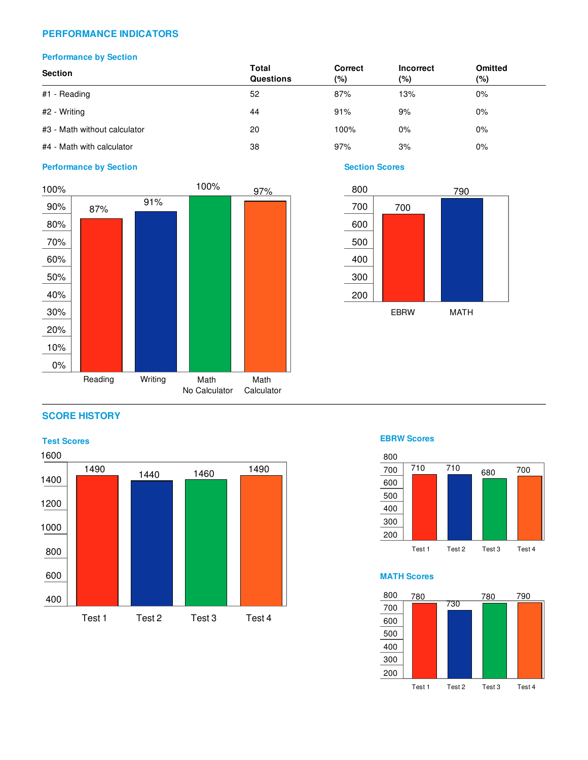### **PERFORMANCE INDICATORS**

### **Performance by Section**

| <b>Section</b>               | Total<br><b>Questions</b> | Correct<br>(%) | <b>Incorrect</b><br>(%) | <b>Omitted</b><br>(%) |  |
|------------------------------|---------------------------|----------------|-------------------------|-----------------------|--|
| #1 - Reading                 | 52                        | 87%            | 13%                     | $0\%$                 |  |
| #2 - Writing                 | 44                        | 91%            | 9%                      | $0\%$                 |  |
| #3 - Math without calculator | 20                        | 100%           | $0\%$                   | $0\%$                 |  |
| #4 - Math with calculator    | 38                        | 97%            | 3%                      | 0%                    |  |

### **Performance by Section Section Section Section Section Section Section Section Section Section**





### **SCORE HISTORY**





### **MATH Scores**